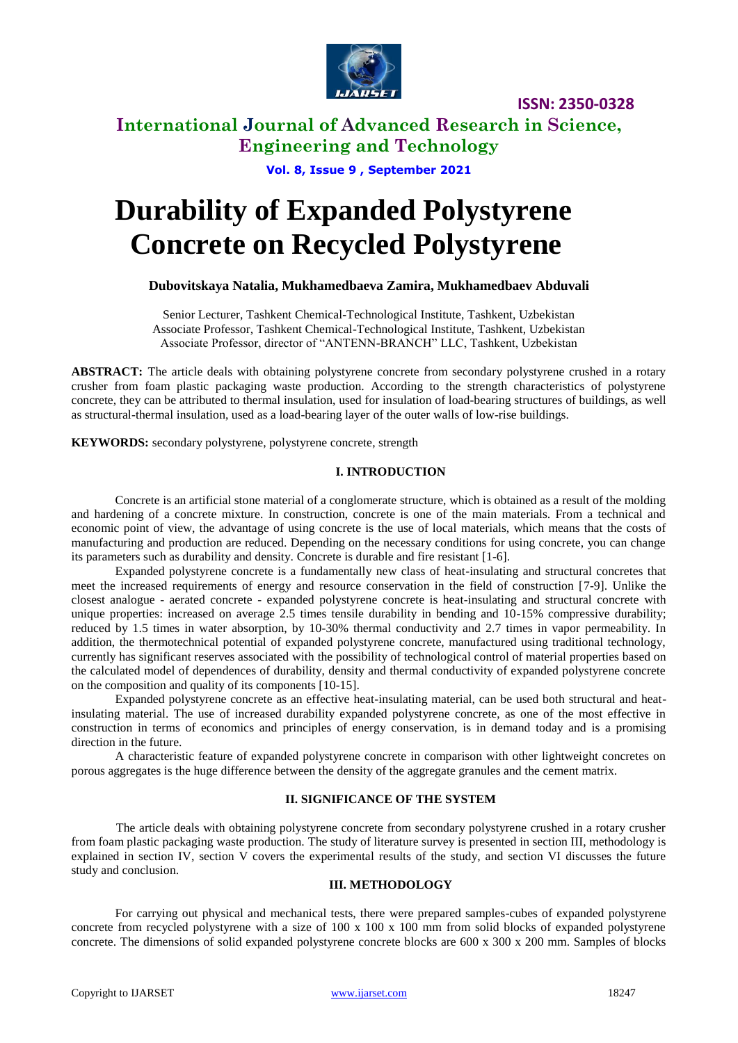

**ISSN: 2350-0328**

## **International Journal of Advanced Research in Science, Engineering and Technology**

**Vol. 8, Issue 9 , September 2021**

# **Durability of Expanded Polystyrene Concrete on Recycled Polystyrene**

#### **Dubovitskaya Natalia, Mukhamedbaeva Zamira, Mukhamedbaev Abduvali**

Senior Lecturer, Tashkent Chemical-Technological Institute, Tashkent, Uzbekistan Associate Professor, Tashkent Chemical-Technological Institute, Tashkent, Uzbekistan Associate Professor, director of "ANTENN-BRANCH" LLC, Tashkent, Uzbekistan

ABSTRACT: The article deals with obtaining polystyrene concrete from secondary polystyrene crushed in a rotary crusher from foam plastic packaging waste production. According to the strength characteristics of polystyrene concrete, they can be attributed to thermal insulation, used for insulation of load-bearing structures of buildings, as well as structural-thermal insulation, used as a load-bearing layer of the outer walls of low-rise buildings.

**KEYWORDS:** secondary polystyrene, polystyrene concrete, strength

#### **I. INTRODUCTION**

Concrete is an artificial stone material of a conglomerate structure, which is obtained as a result of the molding and hardening of a concrete mixture. In construction, concrete is one of the main materials. From a technical and economic point of view, the advantage of using concrete is the use of local materials, which means that the costs of manufacturing and production are reduced. Depending on the necessary conditions for using concrete, you can change its parameters such as durability and density. Concrete is durable and fire resistant [1-6].

Expanded polystyrene concrete is a fundamentally new class of heat-insulating and structural concretes that meet the increased requirements of energy and resource conservation in the field of construction [7-9]. Unlike the closest analogue - aerated concrete - expanded polystyrene concrete is heat-insulating and structural concrete with unique properties: increased on average 2.5 times tensile durability in bending and 10-15% compressive durability; reduced by 1.5 times in water absorption, by 10-30% thermal conductivity and 2.7 times in vapor permeability. In addition, the thermotechnical potential of expanded polystyrene concrete, manufactured using traditional technology, currently has significant reserves associated with the possibility of technological control of material properties based on the calculated model of dependences of durability, density and thermal conductivity of expanded polystyrene concrete on the composition and quality of its components [10-15].

Expanded polystyrene concrete as an effective heat-insulating material, can be used both structural and heatinsulating material. The use of increased durability expanded polystyrene concrete, as one of the most effective in construction in terms of economics and principles of energy conservation, is in demand today and is a promising direction in the future.

A characteristic feature of expanded polystyrene concrete in comparison with other lightweight concretes on porous aggregates is the huge difference between the density of the aggregate granules and the cement matrix.

#### **II. SIGNIFICANCE OF THE SYSTEM**

The article deals with obtaining polystyrene concrete from secondary polystyrene crushed in a rotary crusher from foam plastic packaging waste production. The study of literature survey is presented in section III, methodology is explained in section IV, section V covers the experimental results of the study, and section VI discusses the future study and conclusion.

#### **III. METHODOLOGY**

For carrying out physical and mechanical tests, there were prepared samples-cubes of expanded polystyrene concrete from recycled polystyrene with a size of  $100 \times 100 \times 100$  mm from solid blocks of expanded polystyrene concrete. The dimensions of solid expanded polystyrene concrete blocks are 600 x 300 x 200 mm. Samples of blocks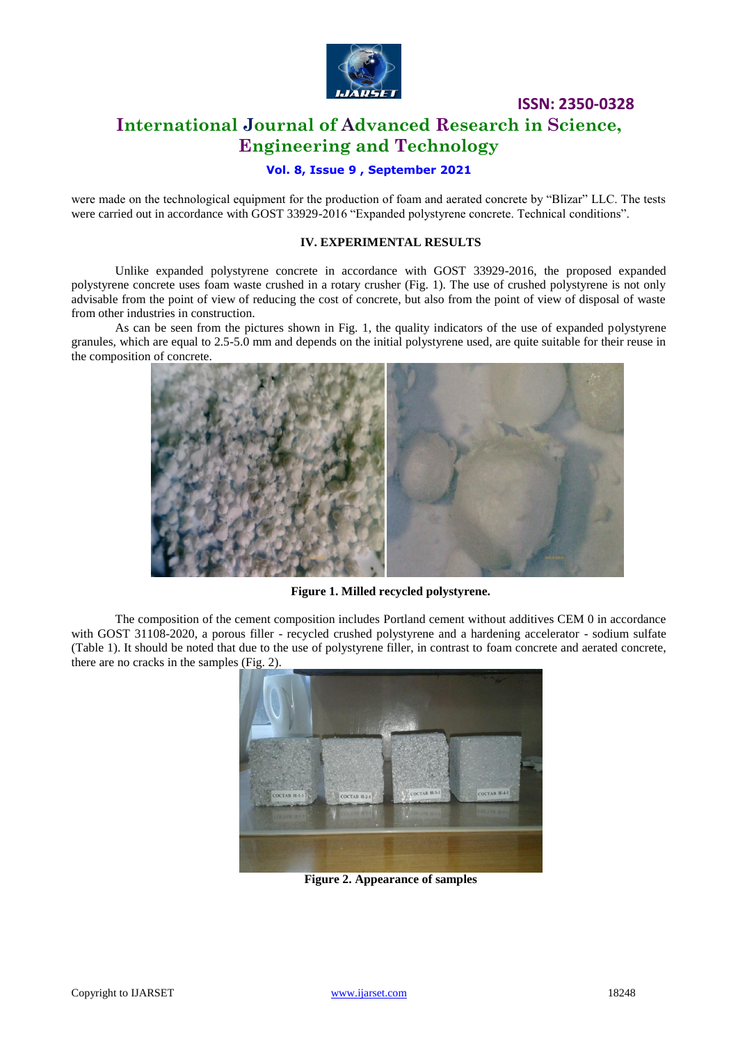

**ISSN: 2350-0328**

# **International Journal of Advanced Research in Science, Engineering and Technology**

#### **Vol. 8, Issue 9 , September 2021**

were made on the technological equipment for the production of foam and aerated concrete by "Blizar" LLC. The tests were carried out in accordance with GOST 33929-2016 "Expanded polystyrene concrete. Technical conditions".

#### **IV. EXPERIMENTAL RESULTS**

Unlike expanded polystyrene concrete in accordance with GOST 33929-2016, the proposed expanded polystyrene concrete uses foam waste crushed in a rotary crusher (Fig. 1). The use of crushed polystyrene is not only advisable from the point of view of reducing the cost of concrete, but also from the point of view of disposal of waste from other industries in construction.

As can be seen from the pictures shown in Fig. 1, the quality indicators of the use of expanded polystyrene granules, which are equal to 2.5-5.0 mm and depends on the initial polystyrene used, are quite suitable for their reuse in the composition of concrete.



**Figure 1. Milled recycled polystyrene.**

The composition of the cement composition includes Portland cement without additives CEM 0 in accordance with GOST 31108-2020, a porous filler - recycled crushed polystyrene and a hardening accelerator - sodium sulfate (Table 1). It should be noted that due to the use of polystyrene filler, in contrast to foam concrete and aerated concrete, there are no cracks in the samples (Fig. 2).



**Figure 2. Appearance of samples**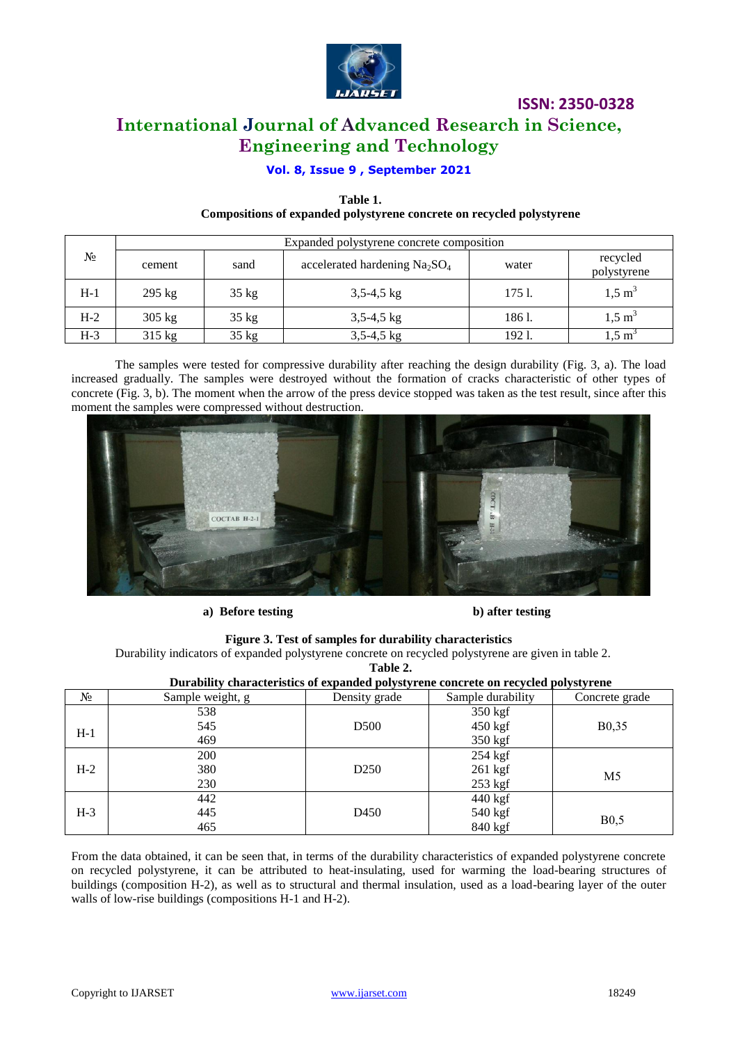

# **ISSN: 2350-0328 International Journal of Advanced Research in Science, Engineering and Technology**

### **Vol. 8, Issue 9 , September 2021**

#### **Table 1. Compositions of expanded polystyrene concrete on recycled polystyrene**

| $N_2$ | Expanded polystyrene concrete composition |         |                                |        |                         |  |
|-------|-------------------------------------------|---------|--------------------------------|--------|-------------------------|--|
|       | cement                                    | sand    | accelerated hardening $Na2SO4$ | water  | recycled<br>polystyrene |  |
| $H-1$ | $295$ kg                                  | $35$ kg | $3,5-4,5$ kg                   | 1751.  | $1,5 \text{ m}^3$       |  |
| $H-2$ | $305$ kg                                  | $35$ kg | $3,5-4,5$ kg                   | 1861.  | $1,5 \; \mathrm{m}^3$   |  |
| $H-3$ | 315 kg                                    | 35 kg   | $3,5-4,5$ kg                   | 192 1. | m د.                    |  |

The samples were tested for compressive durability after reaching the design durability (Fig. 3, a). The load increased gradually. The samples were destroyed without the formation of cracks characteristic of other types of concrete (Fig. 3, b). The moment when the arrow of the press device stopped was taken as the test result, since after this moment the samples were compressed without destruction.



**a) Before testing b) after testing**

**Figure 3. Test of samples for durability characteristics**

Durability indicators of expanded polystyrene concrete on recycled polystyrene are given in table 2.

**Table 2.**

| Durability characteristics of expanded polystyrene concrete on recycled polystyrene |                  |                  |                   |                    |  |  |
|-------------------------------------------------------------------------------------|------------------|------------------|-------------------|--------------------|--|--|
| $N_2$                                                                               | Sample weight, g | Density grade    | Sample durability | Concrete grade     |  |  |
|                                                                                     | 538              |                  | $350$ kgf         |                    |  |  |
| $H-1$                                                                               | 545              | D <sub>500</sub> | $450$ kgf         | B <sub>0</sub> ,35 |  |  |
|                                                                                     | 469              |                  | $350$ kgf         |                    |  |  |
|                                                                                     | 200              |                  | 254 kgf           |                    |  |  |
| $H-2$                                                                               | 380              | D <sub>250</sub> | $261$ kgf         | M <sub>5</sub>     |  |  |
|                                                                                     | 230              |                  | $253$ kgf         |                    |  |  |
|                                                                                     | 442              |                  | 440 kgf           |                    |  |  |
| $H-3$                                                                               | 445              | D450             | 540 kgf           | B <sub>0,5</sub>   |  |  |
|                                                                                     | 465              |                  | 840 kgf           |                    |  |  |

From the data obtained, it can be seen that, in terms of the durability characteristics of expanded polystyrene concrete on recycled polystyrene, it can be attributed to heat-insulating, used for warming the load-bearing structures of buildings (composition H-2), as well as to structural and thermal insulation, used as a load-bearing layer of the outer walls of low-rise buildings (compositions H-1 and H-2).